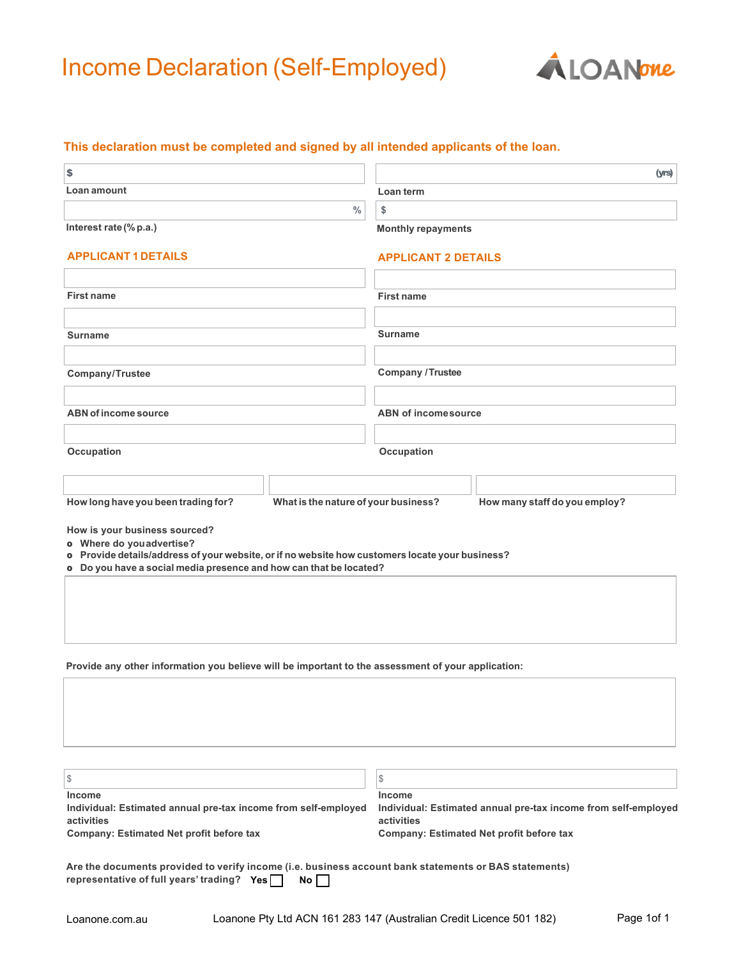# Income Declaration (Self-Employed)



### **This declaration must be completed and signed by all intended applicants of the loan.**

| \$                                                                                                                                                                                                                                  |                                      |                                                                                        |                               | (yrs) |
|-------------------------------------------------------------------------------------------------------------------------------------------------------------------------------------------------------------------------------------|--------------------------------------|----------------------------------------------------------------------------------------|-------------------------------|-------|
| Loan amount                                                                                                                                                                                                                         |                                      | Loan term                                                                              |                               |       |
| $\frac{0}{0}$                                                                                                                                                                                                                       |                                      | \$                                                                                     |                               |       |
| Interest rate (% p.a.)                                                                                                                                                                                                              |                                      | <b>Monthly repayments</b>                                                              |                               |       |
| <b>APPLICANT 1 DETAILS</b>                                                                                                                                                                                                          |                                      | <b>APPLICANT 2 DETAILS</b>                                                             |                               |       |
|                                                                                                                                                                                                                                     |                                      |                                                                                        |                               |       |
| <b>First name</b>                                                                                                                                                                                                                   |                                      | <b>First name</b>                                                                      |                               |       |
|                                                                                                                                                                                                                                     |                                      |                                                                                        |                               |       |
| <b>Surname</b>                                                                                                                                                                                                                      |                                      | <b>Surname</b>                                                                         |                               |       |
|                                                                                                                                                                                                                                     |                                      |                                                                                        |                               |       |
| Company/Trustee                                                                                                                                                                                                                     |                                      | <b>Company / Trustee</b>                                                               |                               |       |
|                                                                                                                                                                                                                                     |                                      |                                                                                        |                               |       |
| <b>ABN of income source</b>                                                                                                                                                                                                         |                                      | <b>ABN of income source</b>                                                            |                               |       |
|                                                                                                                                                                                                                                     |                                      |                                                                                        |                               |       |
| Occupation                                                                                                                                                                                                                          |                                      | Occupation                                                                             |                               |       |
|                                                                                                                                                                                                                                     |                                      |                                                                                        |                               |       |
| How long have you been trading for?                                                                                                                                                                                                 | What is the nature of your business? |                                                                                        | How many staff do you employ? |       |
| How is your business sourced?<br>o Where do you advertise?<br>o Provide details/address of your website, or if no website how customers locate your business?<br>o Do you have a social media presence and how can that be located? |                                      |                                                                                        |                               |       |
| Provide any other information you believe will be important to the assessment of your application:                                                                                                                                  |                                      |                                                                                        |                               |       |
|                                                                                                                                                                                                                                     |                                      |                                                                                        |                               |       |
| $\frac{1}{2}$                                                                                                                                                                                                                       |                                      | \$                                                                                     |                               |       |
| <b>Income</b><br>Individual: Estimated annual pre-tax income from self-employed<br>activities                                                                                                                                       |                                      | Income<br>Individual: Estimated annual pre-tax income from self-employed<br>activities |                               |       |
| <b>Company: Estimated Net profit before tax</b>                                                                                                                                                                                     |                                      | <b>Company: Estimated Net profit before tax</b>                                        |                               |       |
| Are the documents provided to verify income (i.e. business account bank statements or BAS statements)<br>representative of full years' trading? Yes                                                                                 | $No \lceil \rceil$                   |                                                                                        |                               |       |